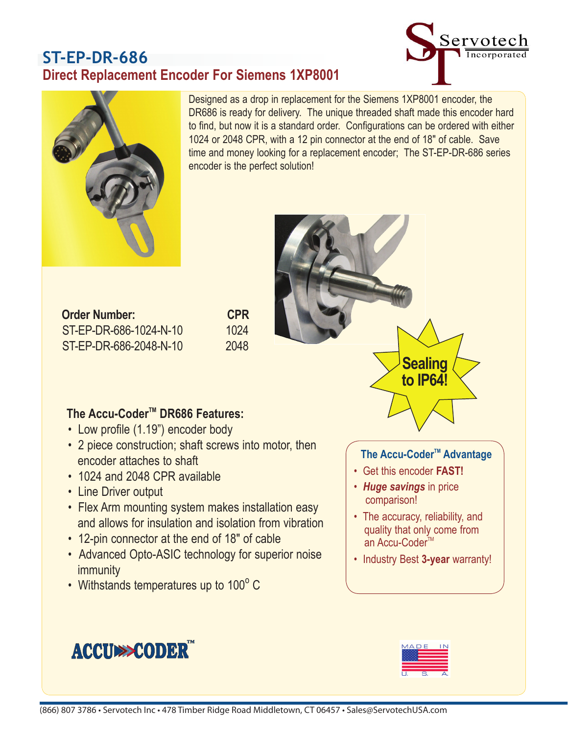# **ST-EP-DR-686 Direct Replacement Encoder For Siemens 1XP8001**





Designed as a drop in replacement for the Siemens 1XP8001 encoder, the DR686 is ready for delivery. The unique threaded shaft made this encoder hard to find, but now it is a standard order. Configurations can be ordered with either 1024 or 2048 CPR, with a 12 pin connector at the end of 18" of cable. Save time and money looking for a replacement encoder; The ST-EP-DR-686 series encoder is the perfect solution!

| <b>Order Number:</b>   | <b>CPR</b> |
|------------------------|------------|
| ST-EP-DR-686-1024-N-10 | 1024       |
| ST-EP-DR-686-2048-N-10 | 2048       |

## The Accu-Coder<sup>™</sup> DR686 Features:

- Low profile (1.19") encoder body
- 2 piece construction; shaft screws into motor, then encoder attaches to shaft
- 1024 and 2048 CPR available
- Line Driver output
- Flex Arm mounting system makes installation easy and allows for insulation and isolation from vibration
- 12-pin connector at the end of 18" of cable
- Advanced Opto-ASIC technology for superior noise immunity
- Withstands temperatures up to  $100^{\circ}$  C

**ACCUMPCODER** 







#### **The Accu-Coder™ Advantage**

**Sealing to IP64!**

- Get this encoder **FAST!**
- *Huge savings* in price comparison!
- The accuracy, reliability, and quality that only come from an Accu-Coder<sup>™</sup>
- Industry Best **3-year** warranty!